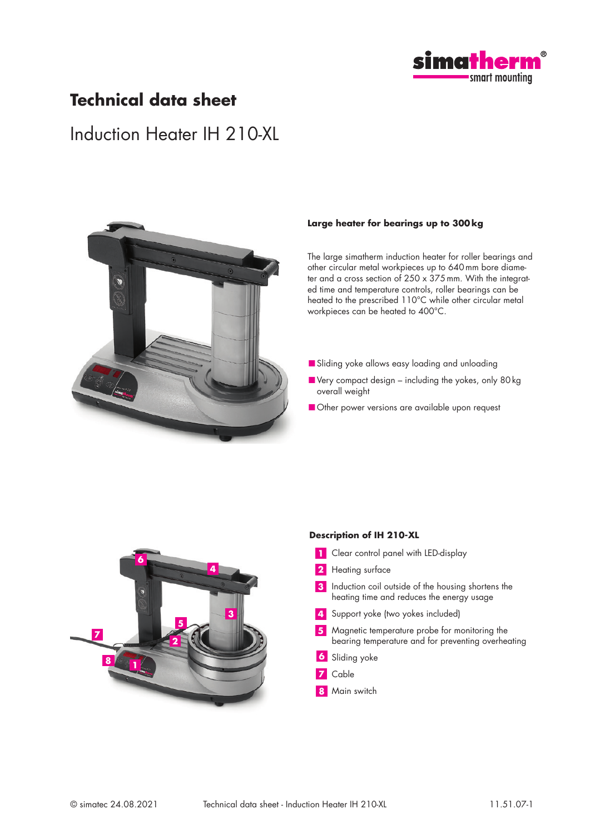

### **Technical data sheet**

## Induction Heater IH 210-XL



#### **Large heater for bearings up to 300 kg**

The large simatherm induction heater for roller bearings and other circular metal workpieces up to 640mm bore diameter and a cross section of 250 x 375mm. With the integrated time and temperature controls, roller bearings can be heated to the prescribed 110°C while other circular metal workpieces can be heated to 400°C.

- Sliding yoke allows easy loading and unloading
- Very compact design including the yokes, only 80kg overall weight
- Other power versions are available upon request



#### **Description of IH 210-XL**

- **1** Clear control panel with LED-display
- **2** Heating surface

**3** Induction coil outside of the housing shortens the heating time and reduces the energy usage

- **4** Support yoke (two yokes included)
- **5** Magnetic temperature probe for monitoring the bearing temperature and for preventing overheating
- **6** Sliding yoke
- **7** Cable
- **8** Main switch